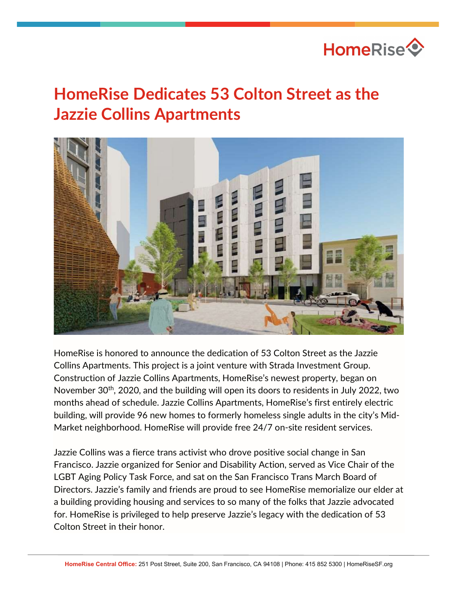

## HomeRise Dedicates 53 Colton Street as the Jazzie Collins Apartments



HomeRise is honored to announce the dedication of 53 Colton Street as the Jazzie Collins Apartments. This project is a joint venture with Strada Investment Group. Construction of Jazzie Collins Apartments, HomeRise's newest property, began on November 30th, 2020, and the building will open its doors to residents in July 2022, two months ahead of schedule. Jazzie Collins Apartments, HomeRise's first entirely electric building, will provide 96 new homes to formerly homeless single adults in the city's Mid-Market neighborhood. HomeRise will provide free 24/7 on-site resident services.

Jazzie Collins was a fierce trans activist who drove positive social change in San Francisco. Jazzie organized for Senior and Disability Action, served as Vice Chair of the LGBT Aging Policy Task Force, and sat on the San Francisco Trans March Board of Directors. Jazzie's family and friends are proud to see HomeRise memorialize our elder at a building providing housing and services to so many of the folks that Jazzie advocated for. HomeRise is privileged to help preserve Jazzie's legacy with the dedication of 53 Colton Street in their honor.